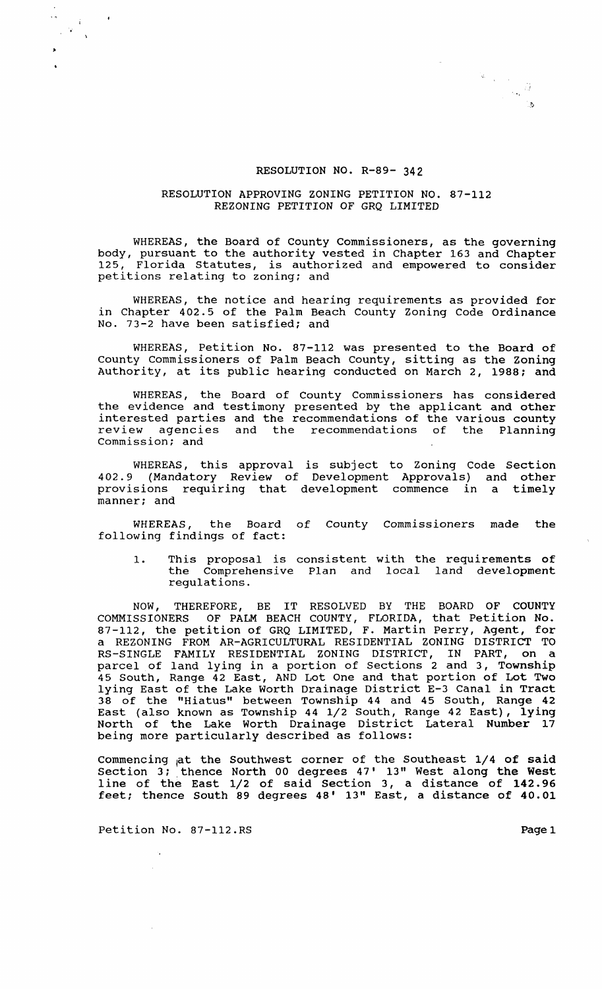$\left\langle \begin{array}{cc} \mathbf{w} & \mathbf{w} \\ \mathbf{w} & \mathbf{w} \end{array} \right\rangle_{\mathbf{w}} \widehat{D}$  $\mathbb{Z}_2$ 

 $\bar{\alpha}$ 

## RESOLUTION NO. R-89- 342

## RESOLUTION APPROVING ZONING PETITION NO. 87-112 REZONING PETITION OF GRQ LIMITED

WHEREAS, the Board of County Commissioners, as the governing body, pursuant to the authority vested in Chapter 163 and Chapter<br>125, Florida Statutes, is authorized and empowered to consider Florida Statutes, is authorized and empowered to consider petitions relating to zoning; and

WHEREAS, the notice and hearing requirements as provided for in Chapter 402.5 of the Palm Beach County Zoning Code Ordinance No. 73-2 have been satisfied; and

WHEREAS, Petition No. 87-112 was presented to the Board of County Commissioners of Palm Beach County, sitting as the zoning Authority, at its public hearing conducted on March 2, 1988; and

WHEREAS, the Board of County Commissioners has considered the evidence and testimony presented by the applicant and other interested parties and the recommendations of the various county review agencies and the recommendations of the Planning Commission; and

WHEREAS, this approval is subject to Zoning Code Section 402.9 (Mandatory Review of Development Approvals) and other provisions requiring that development commence in a timely manner; and

WHEREAS, the Board of County Commissioners made the following findings of fact:

1. This proposal is consistent with the requirements of the Comprehensive Plan and local land development regulations.

NOW, THEREFORE, BE IT RESOLVED BY THE BOARD OF COUNTY COMMISSIONERS OF PALM BEACH COUNTY, FLORIDA, that Petition No. 87-112, the petition of GRQ LIMITED, F. Martin Perry, Agent, for a REZONING FROM AR-AGRICULTURAL RESIDENTIAL ZONING DISTRICT TO RS-SINGLE FAMILY RESIDENTIAL ZONING DISTRICT, IN PART, on a parcel of land lying in a portion of sections 2 and 3, Township 45 South, Range 42 East, AND Lot One and that portion of Lot Two lying East of the Lake Worth Drainage District E-3 Canal in Tract 38 of the "Hiatus" between Township 44 and 45 South, Range 42 East (also known as Township 44 1/2 South, Range 42 East), lying North of the Lake Worth Drainage District Lateral Number 17 being more particularly described as follows:

Commencing  $\beta$ t the Southwest corner of the Southeast 1/4 of said Section 3; thence North 00 degrees 47' 13" West along the West line of the East 1/2 of said section 3, a distance of 142.96 feet; thence South 89 degrees 48' 13" East, a distance of 40.01

Petition No. 87-112.RS Page 1

 $\frac{1}{2}\sum_{i=1}^n\frac{1}{2}\sum_{i=1}^n\frac{1}{2}\sum_{i=1}^n\frac{1}{2}\sum_{i=1}^n\frac{1}{2}\sum_{i=1}^n\frac{1}{2}\sum_{i=1}^n\frac{1}{2}\sum_{i=1}^n\frac{1}{2}\sum_{i=1}^n\frac{1}{2}\sum_{i=1}^n\frac{1}{2}\sum_{i=1}^n\frac{1}{2}\sum_{i=1}^n\frac{1}{2}\sum_{i=1}^n\frac{1}{2}\sum_{i=1}^n\frac{1}{2}\sum_{i=1}^n\frac{1}{2}\sum_{i$  $\Delta$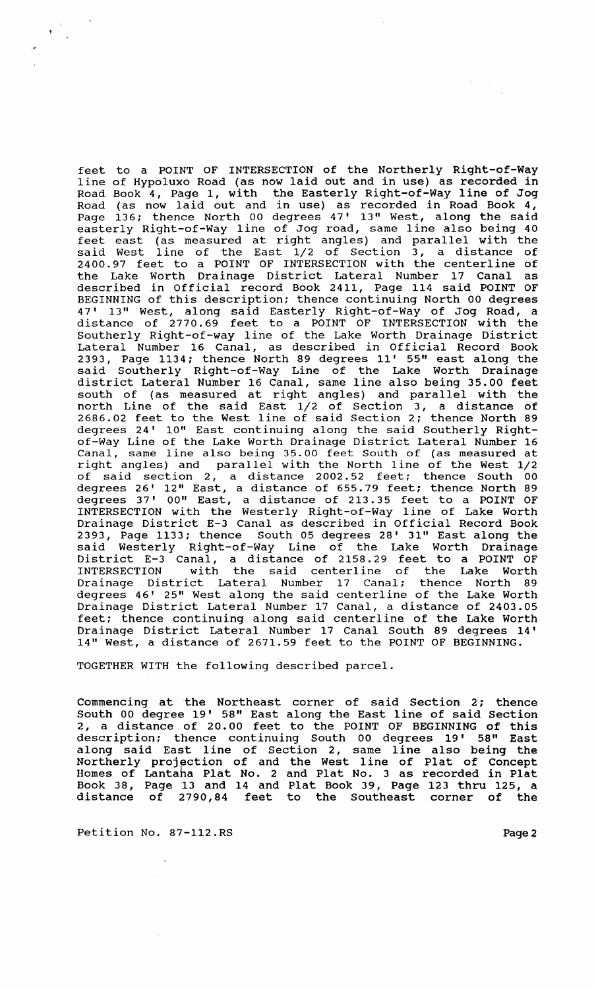feet to a POINT OF INTERSECTION of the Northerly Right-of-Way line of Hypoluxo Road (as now laid out and in use) as recorded in Road Book 4, Page 1, with the Easterly Right-of-Way line of Jog Road Look I, rage 1, when the Easterly Right of May rine or bog Page 136; thence North 00 degrees 47' 13" West, along the said easterly Right-of-Way line of Jog road, same line also being 40 easterly wight of way time or bog road, bame time also being 40<br>feet east (as measured at right angles) and parallel with the said West line of the East 1/2 of section 3, a distance of 2400.97 feet to a POINT OF INTERSECTION with the centerline of the Lake Worth Drainage District Lateral Number 17 Canal as described in Official record Book 2411, Page 114 said POINT OF BEGINNING of this description; thence continuing North 00 degrees 47' 13" West, along said Easterly Right-of-Way of Jog Road, a distance of 2770.69 feet to a POINT OF INTERSECTION with the southerly Right-of-way line of the Lake Worth Drainage District Lateral Number 16 Canal, as described in Official Record Book 2393, Page 1134; thence North 89 degrees 11' 55" east along the said Southerly Right-of-Way Line of the Lake Worth Drainage district Lateral Number 16 Canal, same line also being 35.00 feet arberice Laborar Namber 10 bands, Bamb Tine arbe boing boved 1990 north Line of the said East 1/2 of section 3, a distance of 2686.02 feet to the West line of said section 2; thence North 89 degrees 24' 10" East continuing along the said Southerly Rightacyreco in the Ease concinaing arong the Sara Southerly higher of the Lake Worth Drainage District Lateral Number 16 Canal, same line also being 35.00 feet South of (as measured at edmar, bame time also being 59:00 leet bouth of (as measured at of said section 2, a distance 2002.52 feet; thence South 00 degrees 26' 12" East, a distance of 655.79 feet; thence North 89 degrees 37' 00" East, a distance of 213.35 feet to a POINT OF INTERSECTION with the Westerly Right-of-Way line of Lake Worth Drainage District E-3 Canal as described in Official Record Book 2393, Page 1133; thence South 05 degrees 28' 31" East along the said Westerly Right-of-Way Line of the Lake Worth Drainage District E-3 Canal, a distance of 2158.29 feet to a POINT OF INTERSECTION with the said centerline of the Lake Worth INTERSECTION with the said centerline of the Lake Worth<br>Drainage District Lateral Number 17 Canal; thence North 89 degrees 46' 25" West along the said centerline of the Lake Worth Drainage District Lateral Number 17 Canal, a distance of 2403.05 feet; thence continuing along said centerline of the Lake Worth Drainage District Lateral Number 17 Canal South 89 degrees 14' 14" West, a distance of 2671.59 feet to the POINT OF BEGINNING.

TOGETHER WITH the following described parcel.

Commencing at the Northeast corner of said section 2; thence South 00 degree 19' 58" East along the East line of said Section 2, a distance of 20.00 feet to the POINT OF BEGINNING of this description; thence continuing South 00 degrees 19' 58" East along said East line of Section 2, same line also being the Northerly projection of and the West line of Plat of Concept Homes of Lantaha Plat No. 2 and Plat No. 3 as recorded in Plat Book 38, Page '13 and 14 and Plat Book 39, Page 123 thru 125, a distance of 2790,84 feet to the Southeast corner of the

Petition No. 87-112.RS Page 2

*i'* 

 $\left( \begin{array}{c} 1 \\ 1 \end{array} \right)$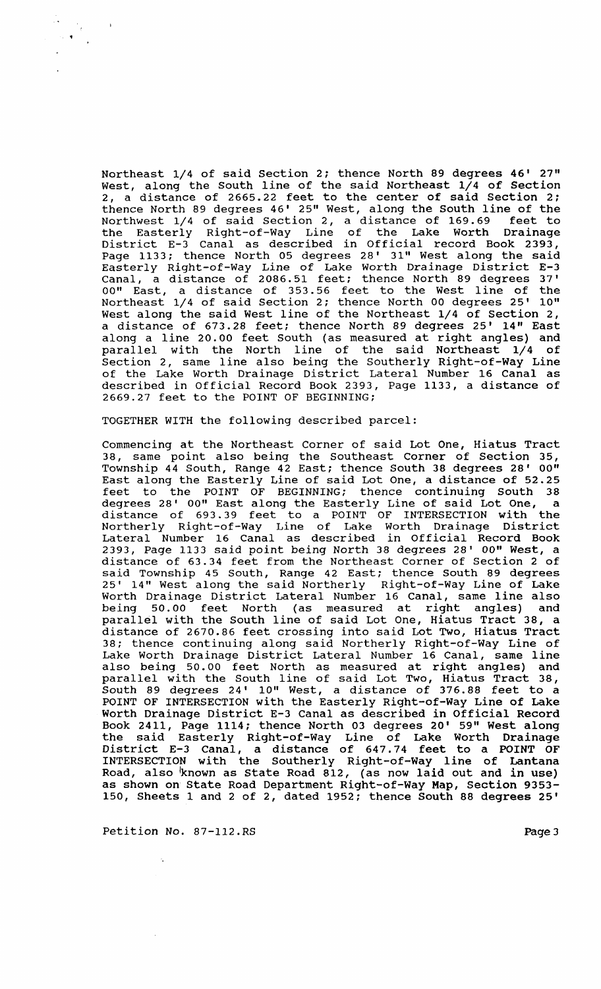Northeast 1/4 of said section 2; thence North 89 degrees 46' 27" West, along the South line of the said Northeast 1/4 of section 2, a distance of 2665.22 feet to the center of said Section 2; thence North 89 degrees 46' 25" West, along the South line of the Northwest 1/4 of said section 2, a distance of 169.69 feet to the Easterly Right-of-Way Line of the Lake Worth Drainage District E-3 Canal as described in Official record Book 2393, Page 1133; thence North 05 degrees 28' 31" West along the said Easterly Right-of-Way Line of Lake Worth Drainage District E-3 Canal, a distance of 2086.51 feet; thence North 89 degrees 37' DO" East, a distance of 353.56 feet to the West line of the Northeast 1/4 of said section 2; thence North 00 degrees 25' 10" West along the said West line of the Northeast 1/4 of Section 2, a distance of 673.28 feet; thence North 89 degrees 25' 14" East along a line 20.00 feet South (as measured at right angles) and parallel with the North line of the said Northeast 1/4 of section 2, same line also being the Southerly Right-of-Way Line of the Lake Worth Drainage District Lateral Number 16 Canal as described in Official Record Book 2393, Page 1133, a distance of 2669.27 feet to the POINT OF BEGINNING;

TOGETHER WITH the following described parcel:

 $\sim$   $\,$   $\,$  $\mathbb{Z}_2$ 

> Commencing at the Northeast Corner of said Lot One, Hiatus Tract 38, same point also being the Southeast Corner of section 35, Township 44 South, Range 42 East; thence South 38 degrees 28' DO" East along the Easterly Line of said Lot One, a distance of 52.25 feet to the POINT OF BEGINNING; thence continuing South 38 feet to the POINT OF BEGINNING, CHOICE SONSTITUTED Jot One, a degrees 28' 00" East along the Easterly Line of said Lot One, a distance of 693.39 feet to a POINT OF INTERSECTION with the Northerly Right-of-Way Line of Lake Worth Drainage District Lateral Number 16 Canal as described in Official Record Book 2393, Page 1133 said point being North 38 degrees 28' 00" West, a distance of 63.34 feet from the Northeast Corner of section 2 of said Township 45 South, Range 42 East; thence South 89 degrees 25' 14" West along the said Northerly Right-of-way Line of Lake Worth Drainage District Lateral Number 16 Canal, same line also being 50.00 feet North (as measured at right angles) and parallel with the South line of said Lot One, Hiatus Tract 38, a distance of 2670.86 feet crossing into said Lot Two, Hiatus Tract 38; thence continuing along said Northerly Right-of-Way Line of Lake Worth Drainage District Lateral Number 16 Canal, same line also being 50.00 feet North as measured at right angles) and ared points of the South line of said Lot Two, Hiatus Tract 38, South 89 degrees 24' 10" West, a distance of 376.88 feet to a POINT OF INTERSECTION with the Easterly Right-of-Way Line of Lake Worth Drainage District E-3 Canal as described in Official Record Book 2411, Page 1114: thence North 03 degrees 20' 59" West along the said Easterly Right-of-Way Line of Lake Worth Drainage District E-3 Canal, a distance of 647.74 feet to a POINT OF INTERSECTION with the Southerly Right-of-Way line of Lantana Road, also  $km$ own as State Road 812, (as now laid out and in use) as shown on State Road Department Right-of-Way Map, section 9353- 150, Sheets 1 and 2 of 2, dated 1952; thence South 88 degrees 25'

Petition No. 87-112.RS Page 3